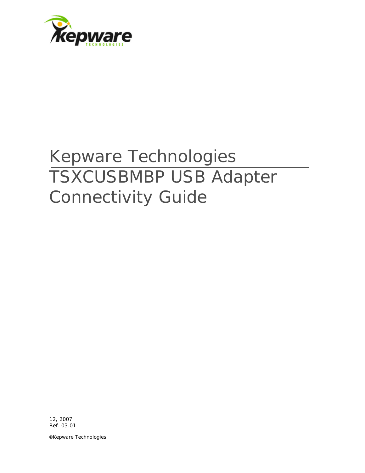

# Kepware Technologies TSXCUSBMBP USB Adapter Connectivity Guide

12, 2007 Ref. 03.01

©Kepware Technologies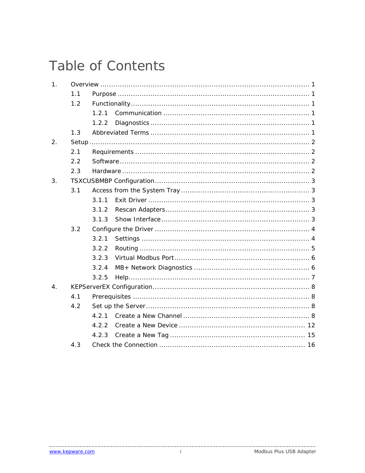## Table of Contents

| 1.               |     |       |  |  |  |  |  |  |  |
|------------------|-----|-------|--|--|--|--|--|--|--|
|                  | 1.1 |       |  |  |  |  |  |  |  |
|                  | 1.2 |       |  |  |  |  |  |  |  |
|                  |     | 1.2.1 |  |  |  |  |  |  |  |
|                  |     | 1.2.2 |  |  |  |  |  |  |  |
|                  | 1.3 |       |  |  |  |  |  |  |  |
| 2.               |     |       |  |  |  |  |  |  |  |
|                  | 2.1 |       |  |  |  |  |  |  |  |
|                  | 2.2 |       |  |  |  |  |  |  |  |
|                  | 2.3 |       |  |  |  |  |  |  |  |
| 3.               |     |       |  |  |  |  |  |  |  |
|                  | 3.1 |       |  |  |  |  |  |  |  |
|                  |     | 3.1.1 |  |  |  |  |  |  |  |
|                  |     | 3.1.2 |  |  |  |  |  |  |  |
|                  |     | 3.1.3 |  |  |  |  |  |  |  |
|                  | 3.2 |       |  |  |  |  |  |  |  |
|                  |     | 3.2.1 |  |  |  |  |  |  |  |
|                  |     | 3.2.2 |  |  |  |  |  |  |  |
|                  |     | 3.2.3 |  |  |  |  |  |  |  |
|                  |     | 3.2.4 |  |  |  |  |  |  |  |
|                  |     | 3.2.5 |  |  |  |  |  |  |  |
| $\overline{4}$ . |     |       |  |  |  |  |  |  |  |
|                  | 4.1 |       |  |  |  |  |  |  |  |
|                  | 4.2 |       |  |  |  |  |  |  |  |
|                  |     | 4.2.1 |  |  |  |  |  |  |  |
|                  |     | 4.2.2 |  |  |  |  |  |  |  |
|                  |     | 4.2.3 |  |  |  |  |  |  |  |
|                  | 4.3 |       |  |  |  |  |  |  |  |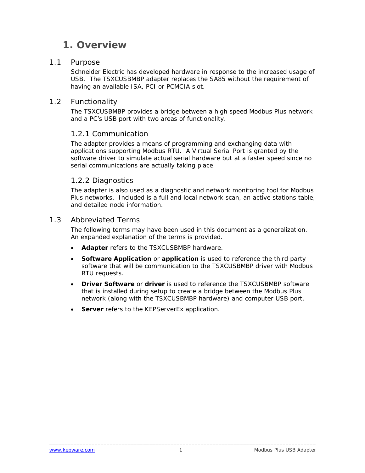### <span id="page-2-0"></span>**1. Overview**

#### 1.1 Purpose

Schneider Electric has developed hardware in response to the increased usage of USB. The TSXCUSBMBP adapter replaces the SA85 without the requirement of having an available ISA, PCI or PCMCIA slot.

#### 1.2 Functionality

The TSXCUSBMBP provides a bridge between a high speed Modbus Plus network and a PC's USB port with two areas of functionality.

#### *1.2.1 Communication*

The adapter provides a means of programming and exchanging data with applications supporting Modbus RTU. A Virtual Serial Port is granted by the software driver to simulate actual serial hardware but at a faster speed since no serial communications are actually taking place.

#### *1.2.2 Diagnostics*

The adapter is also used as a diagnostic and network monitoring tool for Modbus Plus networks. Included is a full and local network scan, an active stations table, and detailed node information.

#### 1.3 Abbreviated Terms

The following terms may have been used in this document as a generalization. An expanded explanation of the terms is provided.

- **Adapter** refers to the TSXCUSBMBP hardware.
- **Software Application** or **application** is used to reference the third party software that will be communication to the TSXCUSBMBP driver with Modbus RTU requests.
- **Driver Software** or **driver** is used to reference the TSXCUSBMBP software that is installed during setup to create a bridge between the Modbus Plus network (along with the TSXCUSBMBP hardware) and computer USB port.
- **Server** refers to the KEPServerEx application.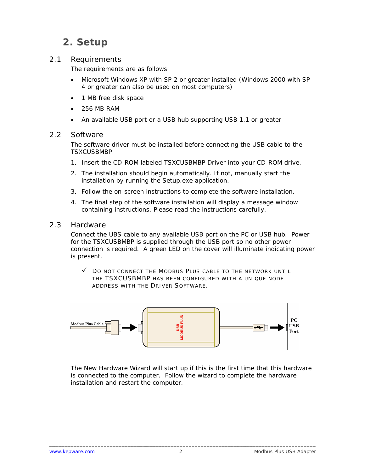## <span id="page-3-0"></span>**2. Setup**

#### 2.1 Requirements

The requirements are as follows:

- Microsoft Windows XP with SP 2 or greater installed (Windows 2000 with SP 4 or greater can also be used on most computers)
- 1 MB free disk space
- 256 MB RAM
- An available USB port or a USB hub supporting USB 1.1 or greater

#### 2.2 Software

The software driver must be installed before connecting the USB cable to the TSXCUSBMBP.

- 1. Insert the CD-ROM labeled TSXCUSBMBP Driver into your CD-ROM drive.
- 2. The installation should begin automatically. If not, manually start the installation by running the Setup.exe application.
- 3. Follow the on-screen instructions to complete the software installation.
- 4. The final step of the software installation will display a message window containing instructions. Please read the instructions carefully.

#### 2.3 Hardware

Connect the UBS cable to any available USB port on the PC or USB hub. Power for the TSXCUSBMBP is supplied through the USB port so no other power connection is required. A green LED on the cover will illuminate indicating power is present.

 $\checkmark$  Do not connect the Modbus Plus cable to the network until THE TSXCUSBMBP HAS BEEN CONFIGURED WITH A UNIQUE NODE ADDRESS WITH THE DRIVER SOFTWARE.



The New Hardware Wizard will start up if this is the first time that this hardware is connected to the computer. Follow the wizard to complete the hardware installation and restart the computer.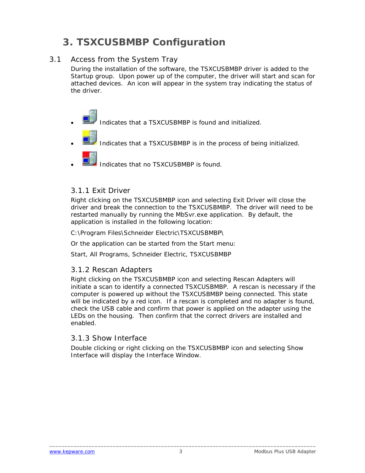## <span id="page-4-0"></span>**3. TSXCUSBMBP Configuration**

#### 3.1 Access from the System Tray

During the installation of the software, the TSXCUSBMBP driver is added to the Startup group. Upon power up of the computer, the driver will start and scan for attached devices. An icon will appear in the system tray indicating the status of the driver.

- Indicates that a TSXCUSBMBP is found and initialized.
- Indicates that a TSXCUSBMBP is in the process of being initialized.
- - Indicates that no TSXCUSBMBP is found.

#### *3.1.1 Exit Driver*

Right clicking on the TSXCUSBMBP icon and selecting Exit Driver will close the driver and break the connection to the TSXCUSBMBP. The driver will need to be restarted manually by running the MbSvr.exe application. By default, the application is installed in the following location:

C:\Program Files\Schneider Electric\TSXCUSBMBP\

Or the application can be started from the Start menu:

Start, All Programs, Schneider Electric, TSXCUSBMBP

#### *3.1.2 Rescan Adapters*

Right clicking on the TSXCUSBMBP icon and selecting Rescan Adapters will initiate a scan to identify a connected TSXCUSBMBP. A rescan is necessary if the computer is powered up without the TSXCUSBMBP being connected. This state will be indicated by a red icon. If a rescan is completed and no adapter is found, check the USB cable and confirm that power is applied on the adapter using the LEDs on the housing. Then confirm that the correct drivers are installed and enabled.

#### *3.1.3 Show Interface*

Double clicking or right clicking on the TSXCUSBMBP icon and selecting Show Interface will display the Interface Window.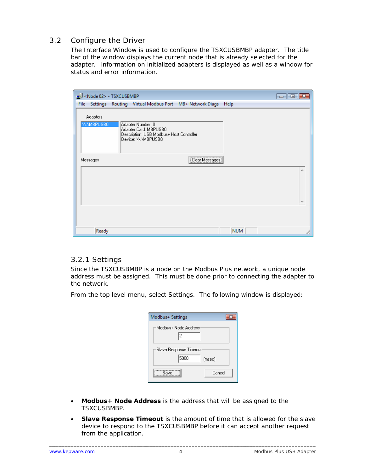#### <span id="page-5-0"></span>3.2 Configure the Driver

The Interface Window is used to configure the TSXCUSBMBP adapter. The title bar of the window displays the current node that is already selected for the adapter. Information on initialized adapters is displayed as well as a window for status and error information.

| Node 02> - TSXCUSBMBP               |       |                                                                                                               |                                                                  |            | $\Box$ $\Box$ $\mathbf{X}$ |
|-------------------------------------|-------|---------------------------------------------------------------------------------------------------------------|------------------------------------------------------------------|------------|----------------------------|
|                                     |       |                                                                                                               | File Settings Routing Virtual Modbus Port MB+ Network Diags Help |            |                            |
| <b>Adapters</b><br><b>W.MBPUSB0</b> |       | Adapter Number: 0<br>Adapter Card: MBPUSB0<br>Description: USB Modbus+ Host Controller<br>Device: \\.\MBPUSB0 |                                                                  |            |                            |
| Messages                            |       |                                                                                                               | [Clear Messages]                                                 |            |                            |
|                                     | Ready |                                                                                                               |                                                                  | <b>NUM</b> |                            |

#### *3.2.1 Settings*

Since the TSXCUSBMBP is a node on the Modbus Plus network, a unique node address must be assigned. This must be done prior to connecting the adapter to the network.

From the top level menu, select Settings. The following window is displayed:

| Modbus+ Settings          |  |
|---------------------------|--|
| Modbus+ Node Address<br>2 |  |
| Slave Response Timeout    |  |
| 5000<br>(msec)            |  |
| Cancel<br>Save            |  |

- **Modbus+ Node Address** is the address that will be assigned to the TSXCUSBMBP.
- **Slave Response Timeout** is the amount of time that is allowed for the slave device to respond to the TSXCUSBMBP before it can accept another request from the application.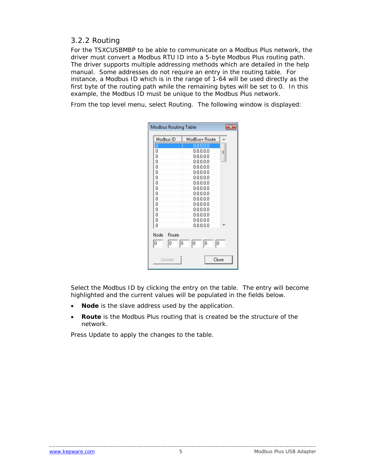#### <span id="page-6-0"></span>*3.2.2 Routing*

For the TSXCUSBMBP to be able to communicate on a Modbus Plus network, the driver must convert a Modbus RTU ID into a 5-byte Modbus Plus routing path. The driver supports multiple addressing methods which are detailed in the help manual. Some addresses do not require an entry in the routing table. For instance, a Modbus ID which is in the range of 1-64 will be used directly as the first byte of the routing path while the remaining bytes will be set to 0. In this example, the Modbus ID must be unique to the Modbus Plus network.

From the top level menu, select Routing. The following window is displayed:

| Modbus ID     | ModBus+ Route |   |
|---------------|---------------|---|
| ΙÖ            | 0.0.0.0.0     |   |
| 0             | 0.0.0.0.0     | Ξ |
| 0             | 0.0.0.0.0     |   |
| 0             | 0.0.0.0.0     |   |
| ٥             | 0.0.0.0.0     |   |
| 0             | 0.0.0.0.0     |   |
| 0             | 0.0.0.0.0     |   |
| ۵             | 0.0.0.0.0     |   |
| Ω             | 00000         |   |
| 0             | 0.0.0.0.0     |   |
| 0             | 0.0.0.0.0     |   |
| n             | 0.0.0.0.0     |   |
| Ω             | 0.0.0.0.0     |   |
| 0             | 0.0.0.0.0     |   |
| 0             | 0.0.0.0.0     |   |
| n             | 0.0.0.0.0     |   |
| Node<br>Route |               |   |
| 10<br>10<br>0 | 10<br>0<br>0  |   |

Select the Modbus ID by clicking the entry on the table. The entry will become highlighted and the current values will be populated in the fields below.

- Node is the slave address used by the application.
- **Route** is the Modbus Plus routing that is created be the structure of the network.

Press Update to apply the changes to the table.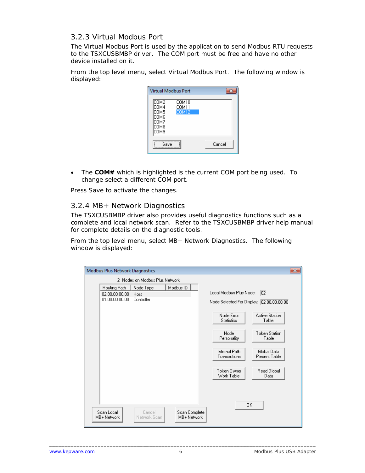#### <span id="page-7-0"></span>*3.2.3 Virtual Modbus Port*

The Virtual Modbus Port is used by the application to send Modbus RTU requests to the TSXCUSBMBP driver. The COM port must be free and have no other device installed on it.

From the top level menu, select Virtual Modbus Port. The following window is displayed:

| <b>Virtual Modbus Port</b>                           |                                |        |
|------------------------------------------------------|--------------------------------|--------|
| COM2<br>COM4<br>COM5<br>СОМ6<br>COM7<br>СОМ8<br>сомэ | COM10<br>COM11<br><b>COM12</b> |        |
| Save                                                 |                                | Cancel |

• The **COM#** which is highlighted is the current COM port being used. To change select a different COM port.

Press Save to activate the changes.

#### *3.2.4 MB+ Network Diagnostics*

The TSXCUSBMBP driver also provides useful diagnostics functions such as a complete and local network scan. Refer to the TSXCUSBMBP driver help manual for complete details on the diagnostic tools.

From the top level menu, select MB+ Network Diagnostics. The following window is displayed:

| Modbus Plus Network Diagnostics |                                                  |                                 |                              |                                                                    | $-x$                                                                                                       |
|---------------------------------|--------------------------------------------------|---------------------------------|------------------------------|--------------------------------------------------------------------|------------------------------------------------------------------------------------------------------------|
|                                 |                                                  | 2 Nodes on Modbus Plus Network  |                              |                                                                    |                                                                                                            |
|                                 | Routing Path<br>02.00.00.00.00<br>01.00.00.00.00 | Node Type<br>Host<br>Controller | Modbus ID                    | Local Modbus Plus Node:<br>Node Error<br><b>Statistics</b><br>Node | 02 <br>Node Selected For Display: 02.00.00.00.00<br><b>Active Station</b><br>Table<br><b>Token Station</b> |
|                                 |                                                  |                                 |                              | Personality<br>Internal Path<br>Transactions                       | Table<br>Global Data<br>Present Table                                                                      |
|                                 |                                                  |                                 |                              | Token Owner<br>Work Table                                          | Read Global<br>Data<br>0K                                                                                  |
| Scan Local<br>MB+ Network       |                                                  | Cancel<br>Network Scan          | Scan Complete<br>MB+ Network |                                                                    |                                                                                                            |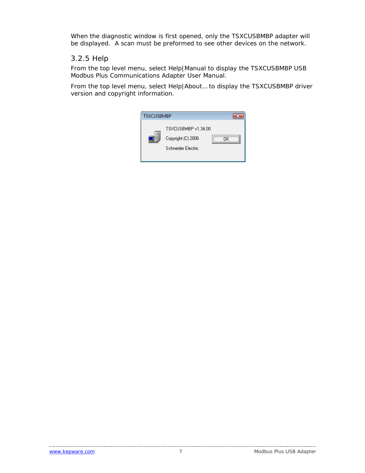<span id="page-8-0"></span>When the diagnostic window is first opened, only the TSXCUSBMBP adapter will be displayed. A scan must be preformed to see other devices on the network.

#### *3.2.5 Help*

From the top level menu, select Help|Manual to display the TSXCUSBMBP USB Modbus Plus Communications Adapter User Manual.

From the top level menu, select Help|About… to display the TSXCUSBMBP driver version and copyright information.

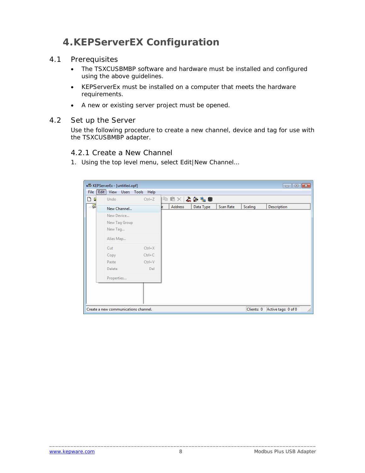## <span id="page-9-0"></span>**4.KEPServerEX Configuration**

#### 4.1 Prerequisites

- The TSXCUSBMBP software and hardware must be installed and configured using the above guidelines.
- KEPServerEx must be installed on a computer that meets the hardware requirements.
- A new or existing server project must be opened.

#### 4.2 Set up the Server

Use the following procedure to create a new channel, device and tag for use with the TSXCUSBMBP adapter.

#### *4.2.1 Create a New Channel*

1. Using the top level menu, select Edit|New Channel…

| $\Box$ $\Box$<br>图 KEPServerEx - [untitled.opf] |            |                                                          |         |           |                                                                                                                                                                                                                                                                                                                                                     |            |             |                     |
|-------------------------------------------------|------------|----------------------------------------------------------|---------|-----------|-----------------------------------------------------------------------------------------------------------------------------------------------------------------------------------------------------------------------------------------------------------------------------------------------------------------------------------------------------|------------|-------------|---------------------|
|                                                 | Help       |                                                          |         |           |                                                                                                                                                                                                                                                                                                                                                     |            |             |                     |
| Undo                                            | $Ctrl + Z$ |                                                          |         |           |                                                                                                                                                                                                                                                                                                                                                     |            |             |                     |
| New Channel                                     |            | le.                                                      | Address | Data Type | Scan Rate                                                                                                                                                                                                                                                                                                                                           | Scaling    | Description |                     |
| New Device                                      |            |                                                          |         |           |                                                                                                                                                                                                                                                                                                                                                     |            |             |                     |
| New Tag Group                                   |            |                                                          |         |           |                                                                                                                                                                                                                                                                                                                                                     |            |             |                     |
| New Tag                                         |            |                                                          |         |           |                                                                                                                                                                                                                                                                                                                                                     |            |             |                     |
| Alias Map                                       |            |                                                          |         |           |                                                                                                                                                                                                                                                                                                                                                     |            |             |                     |
| Cut                                             | $Ctrl+X$   |                                                          |         |           |                                                                                                                                                                                                                                                                                                                                                     |            |             |                     |
| Copy                                            | $Ctrl + C$ |                                                          |         |           |                                                                                                                                                                                                                                                                                                                                                     |            |             |                     |
| Paste                                           | $Ctrl + V$ |                                                          |         |           |                                                                                                                                                                                                                                                                                                                                                     |            |             |                     |
| Delete                                          | Del        |                                                          |         |           |                                                                                                                                                                                                                                                                                                                                                     |            |             |                     |
| Properties                                      |            |                                                          |         |           |                                                                                                                                                                                                                                                                                                                                                     |            |             |                     |
|                                                 |            |                                                          |         |           |                                                                                                                                                                                                                                                                                                                                                     |            |             |                     |
|                                                 |            |                                                          |         |           |                                                                                                                                                                                                                                                                                                                                                     |            |             |                     |
|                                                 |            |                                                          |         |           |                                                                                                                                                                                                                                                                                                                                                     |            |             |                     |
|                                                 |            |                                                          |         |           |                                                                                                                                                                                                                                                                                                                                                     | Clients: 0 |             | h.                  |
|                                                 | Edit       | View Users Tools<br>Create a new communications channel. |         |           | $\begin{picture}(20,20) \put(0,0){\line(1,0){10}} \put(15,0){\line(1,0){10}} \put(15,0){\line(1,0){10}} \put(15,0){\line(1,0){10}} \put(15,0){\line(1,0){10}} \put(15,0){\line(1,0){10}} \put(15,0){\line(1,0){10}} \put(15,0){\line(1,0){10}} \put(15,0){\line(1,0){10}} \put(15,0){\line(1,0){10}} \put(15,0){\line(1,0){10}} \put(15,0){\line(1$ |            |             | Active tags: 0 of 0 |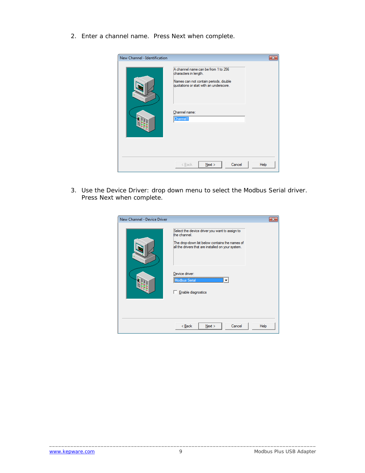2. Enter a channel name. Press Next when complete.

| New Channel - Identification |                                                                                                                                                                               |      |
|------------------------------|-------------------------------------------------------------------------------------------------------------------------------------------------------------------------------|------|
|                              | A channel name can be from 1 to 256<br>characters in length.<br>Names can not contain periods, double<br>quotations or start with an underscore.<br>Channel name:<br>Channel1 |      |
|                              | Next<br>< Back<br>Cancel                                                                                                                                                      | Help |

3. Use the Device Driver: drop down menu to select the Modbus Serial driver. Press Next when complete.

| New Channel - Device Driver |                                                                                                                                                                                                                                        |      |
|-----------------------------|----------------------------------------------------------------------------------------------------------------------------------------------------------------------------------------------------------------------------------------|------|
|                             | Select the device driver you want to assign to<br>the channel.<br>The drop-down list below contains the names of<br>all the drivers that are installed on your system.<br>Device driver:<br><b>Modbus Serial</b><br>Enable diagnostics |      |
|                             | Cancel<br>$Back$<br>Next                                                                                                                                                                                                               | Help |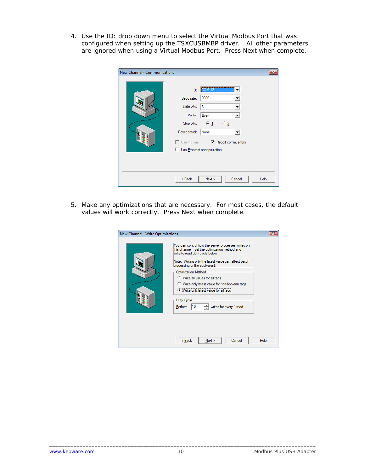4. Use the ID: drop down menu to select the Virtual Modbus Port that was configured when setting up the TSXCUSBMBP driver. All other parameters are ignored when using a Virtual Modbus Port. Press Next when complete.

| New Channel - Communications |                                                                                                                                                                           |      |
|------------------------------|---------------------------------------------------------------------------------------------------------------------------------------------------------------------------|------|
|                              | COM12 <br>ID:<br>9600<br>Baud rate:<br>Data bits:<br>18<br>Parity:<br>Even<br>Stop bits:<br>$G_1$<br>C <sub>2</sub><br>None<br>Flow control:<br>Use Ethemet encapsulation |      |
|                              | $Back$<br>Cancel<br>Next                                                                                                                                                  | Help |

5. Make any optimizations that are necessary. For most cases, the default values will work correctly. Press Next when complete.

| New Channel - Write Optimizations | You can control how the server processes writes on<br>this channel. Set the optimization method and<br>write-to-read duty cycle below.<br>Note: Writing only the latest value can affect batch<br>processing or the equivalent.<br>Optimization Method<br><b>C</b> Write all values for all tags<br>Write only latest value for non-boolean tags<br>Mrite only latest value for all tags. |             |
|-----------------------------------|-------------------------------------------------------------------------------------------------------------------------------------------------------------------------------------------------------------------------------------------------------------------------------------------------------------------------------------------------------------------------------------------|-------------|
|                                   | Duty Cycle<br>10<br>Perform<br>writes for every 1 read<br>Next<br>Cancel<br>< Back                                                                                                                                                                                                                                                                                                        | <b>Help</b> |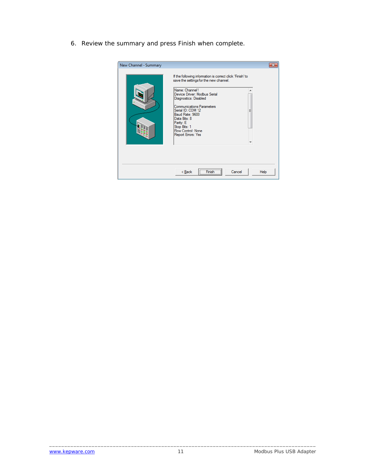6. Review the summary and press Finish when complete.

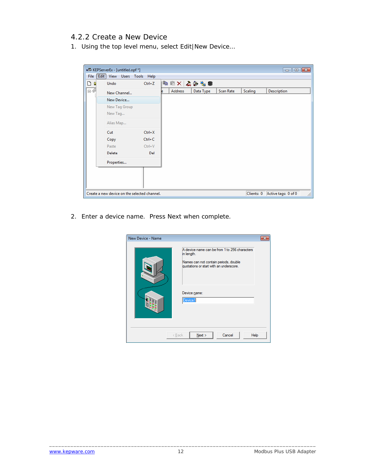#### <span id="page-13-0"></span>*4.2.2 Create a New Device*

1. Using the top level menu, select Edit|New Device…

|      |      | 图 KEPServerEx - [untitled.opf *]             |            |          |           |           |                | $\blacksquare$ $\blacksquare$ $\blacksquare$ |
|------|------|----------------------------------------------|------------|----------|-----------|-----------|----------------|----------------------------------------------|
| File | Edit | Users Tools Help<br>View                     |            |          |           |           |                |                                              |
| Dε   |      | Undo                                         | $Ctrl + Z$ | BEX 4048 |           |           |                |                                              |
| 日源   |      | New Channel                                  |            | Address  | Data Type | Scan Rate | <b>Scaling</b> | Description                                  |
|      |      | New Device                                   |            |          |           |           |                |                                              |
|      |      | New Tag Group                                |            |          |           |           |                |                                              |
|      |      | New Tag                                      |            |          |           |           |                |                                              |
|      |      | Alias Map                                    |            |          |           |           |                |                                              |
|      |      | Cut                                          | $Ctrl+X$   |          |           |           |                |                                              |
|      |      | Copy                                         | $Ctrl + C$ |          |           |           |                |                                              |
|      |      | Paste                                        | $Ctrl + V$ |          |           |           |                |                                              |
|      |      | <b>Delete</b>                                | Del        |          |           |           |                |                                              |
|      |      | Properties                                   |            |          |           |           |                |                                              |
|      |      |                                              |            |          |           |           |                |                                              |
|      |      |                                              |            |          |           |           |                |                                              |
|      |      |                                              |            |          |           |           |                |                                              |
|      |      | Create a new device on the selected channel. |            |          |           |           | Clients: 0     | Active tags: 0 of 0<br>h.                    |

2. Enter a device name. Press Next when complete.

| New Device - Name |                                                                                                                                                                            |  |
|-------------------|----------------------------------------------------------------------------------------------------------------------------------------------------------------------------|--|
|                   | A device name can be from 1 to 256 characters<br>in length.<br>Names can not contain periods, double<br>quotations or start with an underscore.<br>Device name:<br>Device1 |  |
|                   | Next<br>Cancel<br>Help<br>< Back                                                                                                                                           |  |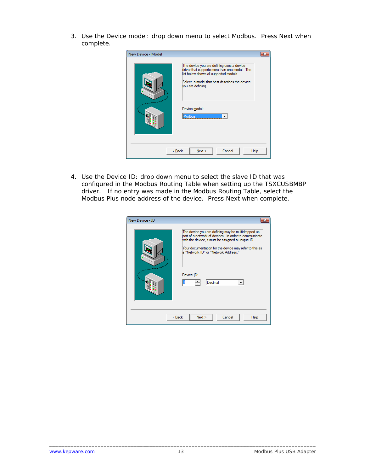3. Use the Device model: drop down menu to select Modbus. Press Next when complete.

| New Device - Model | The device you are defining uses a device<br>driver that supports more than one model. The<br>list below shows all supported models.<br>Select a model that best describes the device<br>you are defining.<br>Device model: |  |
|--------------------|-----------------------------------------------------------------------------------------------------------------------------------------------------------------------------------------------------------------------------|--|
|                    | Modbus<br>Cancel<br>< Back<br>Next<br>Help                                                                                                                                                                                  |  |

4. Use the Device ID: drop down menu to select the slave ID that was configured in the Modbus Routing Table when setting up the TSXCUSBMBP driver. If no entry was made in the Modbus Routing Table, select the Modbus Plus node address of the device. Press Next when complete.

| New Device - ID |                                                                                                                                                                                                                                                                                                  |
|-----------------|--------------------------------------------------------------------------------------------------------------------------------------------------------------------------------------------------------------------------------------------------------------------------------------------------|
|                 | The device you are defining may be multidropped as<br>bart of a network of devices. In order to communicate<br>with the device, it must be assigned a unique ID.<br>Your documentation for the device may refer to this as<br>a "Network ID" or "Network Address."<br>Device ID:<br>÷<br>Decimal |
|                 | Cancel<br>< Back<br>Next<br>Help                                                                                                                                                                                                                                                                 |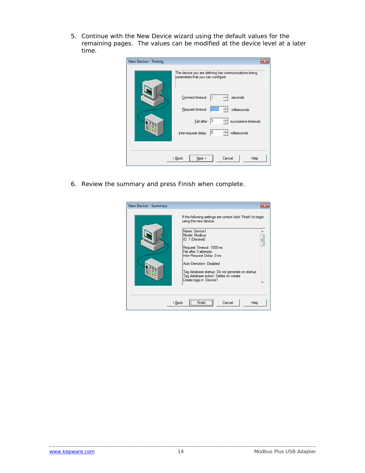5. Continue with the New Device wizard using the default values for the remaining pages. The values can be modified at the device level at a later time.

| New Device - Timing |                                                                                             |
|---------------------|---------------------------------------------------------------------------------------------|
|                     | The device you are defining has communications timing<br>parameters that you can configure. |
|                     | Connect timeout:<br>seconds<br>13                                                           |
|                     | Request timeout:<br>÷<br>1000<br>milliseconds                                               |
|                     | 13<br>Fail after<br>successive timeouts                                                     |
|                     | 10<br>Inter-request delay:<br>milliseconds                                                  |
|                     |                                                                                             |
|                     | Cancel<br>< Back<br>Next<br>Help                                                            |

6. Review the summary and press Finish when complete.

| New Device - Summary |                                                                                        |   |
|----------------------|----------------------------------------------------------------------------------------|---|
|                      | If the following settings are correct click 'Finish' to begin<br>using the new device. |   |
|                      | Name: Device1<br>Model: Modbus<br>ID: 1 (Decimal)                                      | Ξ |
|                      | Request Timeout: 1000 ms<br>Fail after 3 attempts<br>Inter-Request Delay: 0 ms         |   |
|                      | Auto-Demotion: Disabled<br>Tag database startup: Do not generate on startup            |   |
|                      | Tag database action: Delete on create<br>Create tags in: Device1                       |   |
|                      |                                                                                        |   |
|                      | Cancel<br>< Back<br>Help<br>Fir                                                        |   |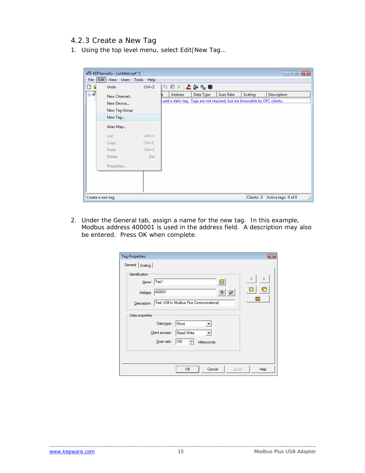#### <span id="page-16-0"></span>*4.2.3 Create a New Tag*

1. Using the top level menu, select Edit|New Tag…

|        | 图 KEPServerEx - [untitled.opf *] |            |                                                                                                                                                                                                                                                                                                                                                     |                                                                            |           |                | $\begin{array}{c c c c c} \hline \multicolumn{3}{c }{\multicolumn{3}{c }{\multicolumn{3}{c }{\multicolumn{3}{c }{\multicolumn{3}{c }{\multicolumn{3}{c }{\multicolumn{3}{c }{\multicolumn{3}{c }{\multicolumn{3}{c }{\multicolumn{3}{c }{\multicolumn{3}{c }{\multicolumn{3}{c }{\multicolumn{3}{c }{\multicolumn{3}{c }{\multicolumn{3}{c }{\multicolumn{3}{c }{\multicolumn{3}{c }{\multicolumn{3}{c }{\multicolumn{3}{c }{\multicolumn{3}{c }{\mult$ |
|--------|----------------------------------|------------|-----------------------------------------------------------------------------------------------------------------------------------------------------------------------------------------------------------------------------------------------------------------------------------------------------------------------------------------------------|----------------------------------------------------------------------------|-----------|----------------|---------------------------------------------------------------------------------------------------------------------------------------------------------------------------------------------------------------------------------------------------------------------------------------------------------------------------------------------------------------------------------------------------------------------------------------------------------|
| File   | $E$ dit<br>View Users Tools      | Help       |                                                                                                                                                                                                                                                                                                                                                     |                                                                            |           |                |                                                                                                                                                                                                                                                                                                                                                                                                                                                         |
| D<br>D | Undo                             | $Ctrl + Z$ | $\begin{picture}(20,20) \put(0,0){\line(1,0){10}} \put(15,0){\line(1,0){10}} \put(15,0){\line(1,0){10}} \put(15,0){\line(1,0){10}} \put(15,0){\line(1,0){10}} \put(15,0){\line(1,0){10}} \put(15,0){\line(1,0){10}} \put(15,0){\line(1,0){10}} \put(15,0){\line(1,0){10}} \put(15,0){\line(1,0){10}} \put(15,0){\line(1,0){10}} \put(15,0){\line(1$ |                                                                            |           |                |                                                                                                                                                                                                                                                                                                                                                                                                                                                         |
| ⊟∙€    | New Channel                      |            | Address                                                                                                                                                                                                                                                                                                                                             | Data Type                                                                  | Scan Rate | <b>Scaling</b> | Description                                                                                                                                                                                                                                                                                                                                                                                                                                             |
|        | New Device                       |            |                                                                                                                                                                                                                                                                                                                                                     | add a static tag. Tags are not required, but are browsable by OPC clients. |           |                |                                                                                                                                                                                                                                                                                                                                                                                                                                                         |
|        | New Tag Group                    |            |                                                                                                                                                                                                                                                                                                                                                     |                                                                            |           |                |                                                                                                                                                                                                                                                                                                                                                                                                                                                         |
|        | New Tag                          |            |                                                                                                                                                                                                                                                                                                                                                     |                                                                            |           |                |                                                                                                                                                                                                                                                                                                                                                                                                                                                         |
|        | Alias Map                        |            |                                                                                                                                                                                                                                                                                                                                                     |                                                                            |           |                |                                                                                                                                                                                                                                                                                                                                                                                                                                                         |
|        | Cut                              | $Ctrl+X$   |                                                                                                                                                                                                                                                                                                                                                     |                                                                            |           |                |                                                                                                                                                                                                                                                                                                                                                                                                                                                         |
|        | Copy                             | $Ctrl + C$ |                                                                                                                                                                                                                                                                                                                                                     |                                                                            |           |                |                                                                                                                                                                                                                                                                                                                                                                                                                                                         |
|        | Paste                            | $Ctrl + V$ |                                                                                                                                                                                                                                                                                                                                                     |                                                                            |           |                |                                                                                                                                                                                                                                                                                                                                                                                                                                                         |
|        | Delete                           | Del        |                                                                                                                                                                                                                                                                                                                                                     |                                                                            |           |                |                                                                                                                                                                                                                                                                                                                                                                                                                                                         |
|        | Properties                       |            |                                                                                                                                                                                                                                                                                                                                                     |                                                                            |           |                |                                                                                                                                                                                                                                                                                                                                                                                                                                                         |
|        |                                  |            |                                                                                                                                                                                                                                                                                                                                                     |                                                                            |           |                |                                                                                                                                                                                                                                                                                                                                                                                                                                                         |
|        |                                  |            |                                                                                                                                                                                                                                                                                                                                                     |                                                                            |           |                |                                                                                                                                                                                                                                                                                                                                                                                                                                                         |
|        |                                  |            |                                                                                                                                                                                                                                                                                                                                                     |                                                                            |           |                |                                                                                                                                                                                                                                                                                                                                                                                                                                                         |
|        | Create a new tag.                |            |                                                                                                                                                                                                                                                                                                                                                     |                                                                            |           | Clients: 0     | Active tags: 0 of 0<br>/i.                                                                                                                                                                                                                                                                                                                                                                                                                              |

2. Under the General tab, assign a name for the new tag. In this example, Modbus address 400001 is used in the address field. A description may also be entered. Press OK when complete.

| <b>Tag Properties</b>                                  | $-x$ |
|--------------------------------------------------------|------|
| General Scaling                                        |      |
| Identification<br>Tag1<br>Name:<br>a                   |      |
| 400001<br>Address:<br>?                                |      |
| Test USB to Modbus Plus Communications<br>Description: | ⊠    |
| Data properties                                        |      |
| Data type:<br>Word<br>$\blacktriangledown$             |      |
| Read/Write<br>Client access:                           |      |
| 100<br>싂<br>Scan rate:<br>milliseconds                 |      |
|                                                        |      |
|                                                        |      |
| OK<br>Cancel<br>Apply                                  | Help |